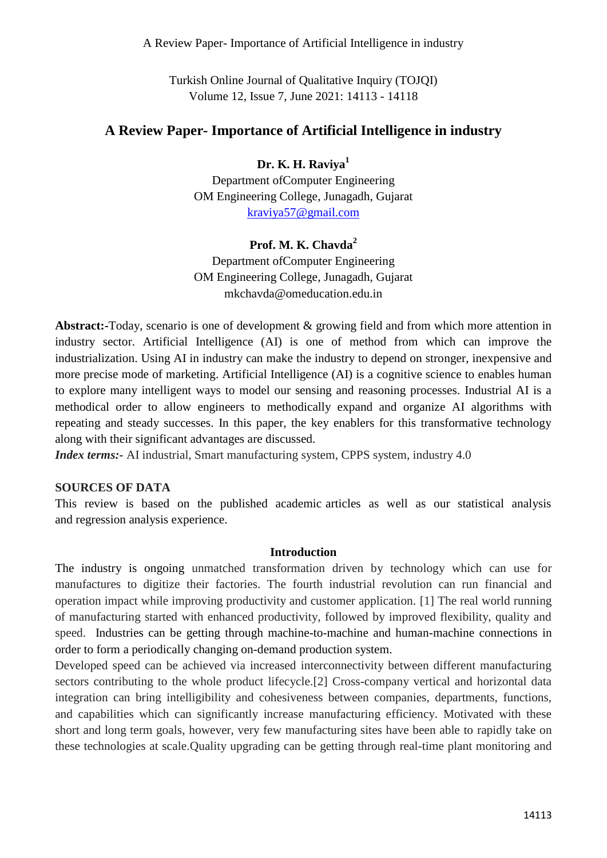A Review Paper- Importance of Artificial Intelligence in industry

Turkish Online Journal of Qualitative Inquiry (TOJQI) Volume 12, Issue 7, June 2021: 14113 - 14118

# **A Review Paper- Importance of Artificial Intelligence in industry**

# **Dr. K. H. Raviya<sup>1</sup>**

Department ofComputer Engineering OM Engineering College, Junagadh, Gujarat [kraviya57@gmail.com](mailto:kraviya57@gmail.com)

#### **Prof. M. K. Chavda<sup>2</sup>**

Department ofComputer Engineering OM Engineering College, Junagadh, Gujarat mkchavda@omeducation.edu.in

**Abstract:-**Today, scenario is one of development & growing field and from which more attention in industry sector. Artificial Intelligence (AI) is one of method from which can improve the industrialization. Using AI in industry can make the industry to depend on stronger, inexpensive and more precise mode of marketing. Artificial Intelligence (AI) is a cognitive science to enables human to explore many intelligent ways to model our sensing and reasoning processes. Industrial AI is a methodical order to allow engineers to methodically expand and organize AI algorithms with repeating and steady successes. In this paper, the key enablers for this transformative technology along with their significant advantages are discussed.

*Index terms:*- AI industrial, Smart manufacturing system, CPPS system, industry 4.0

#### **SOURCES OF DATA**

This review is based on the published academic articles as well as our statistical analysis and regression analysis experience.

#### **Introduction**

The industry is ongoing unmatched transformation driven by technology which can use for manufactures to digitize their factories. The fourth industrial revolution can run financial and operation impact while improving productivity and customer application. [1] The real world running of manufacturing started with enhanced productivity, followed by improved flexibility, quality and speed. Industries can be getting through machine-to-machine and human-machine connections in order to form a periodically changing on-demand production system.

Developed speed can be achieved via increased interconnectivity between different manufacturing sectors contributing to the whole product lifecycle.<sup>[2]</sup> Cross-company vertical and horizontal data integration can bring intelligibility and cohesiveness between companies, departments, functions, and capabilities which can significantly increase manufacturing efficiency. Motivated with these short and long term goals, however, very few manufacturing sites have been able to rapidly take on these technologies at scale.Quality upgrading can be getting through real-time plant monitoring and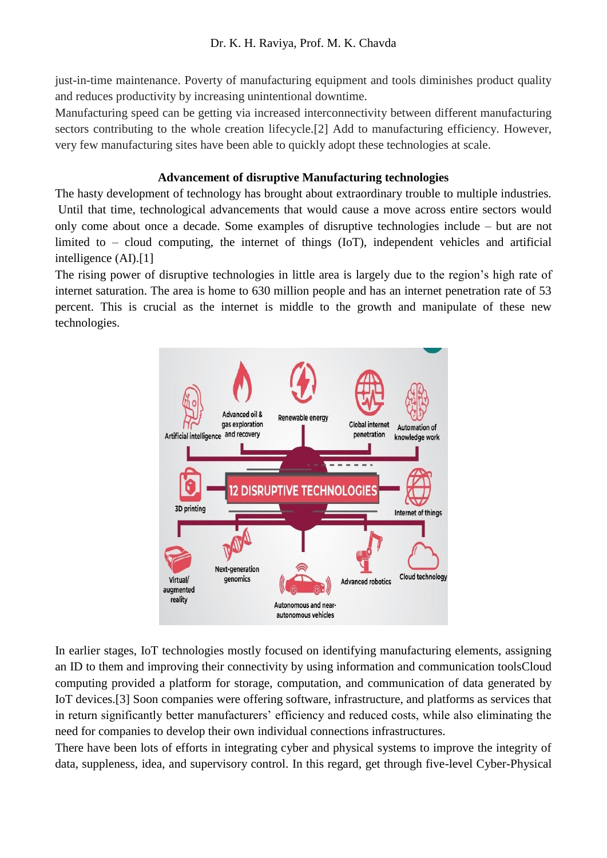just-in-time maintenance. Poverty of manufacturing equipment and tools diminishes product quality and reduces productivity by increasing unintentional downtime.

Manufacturing speed can be getting via increased interconnectivity between different manufacturing sectors contributing to the whole creation lifecycle.<sup>[2]</sup> Add to manufacturing efficiency. However, very few manufacturing sites have been able to quickly adopt these technologies at scale.

### **Advancement of disruptive Manufacturing technologies**

The hasty development of technology has brought about extraordinary trouble to multiple industries. Until that time, technological advancements that would cause a move across entire sectors would only come about once a decade. Some examples of disruptive technologies include – but are not limited to – cloud computing, the internet of things (IoT), independent vehicles and artificial intelligence (AI).[1]

The rising power of disruptive technologies in little area is largely due to the region"s high rate of internet saturation. The area is home to 630 million people and has an internet penetration rate of 53 percent. This is crucial as the internet is middle to the growth and manipulate of these new technologies.



In earlier stages, IoT technologies mostly focused on identifying manufacturing elements, assigning an ID to them and improving their connectivity by using information and communication toolsCloud computing provided a platform for storage, computation, and communication of data generated by IoT devices.[3] Soon companies were offering software, infrastructure, and platforms as services that in return significantly better manufacturers' efficiency and reduced costs, while also eliminating the need for companies to develop their own individual connections infrastructures.

There have been lots of efforts in integrating cyber and physical systems to improve the integrity of data, suppleness, idea, and supervisory control. In this regard, get through five-level Cyber-Physical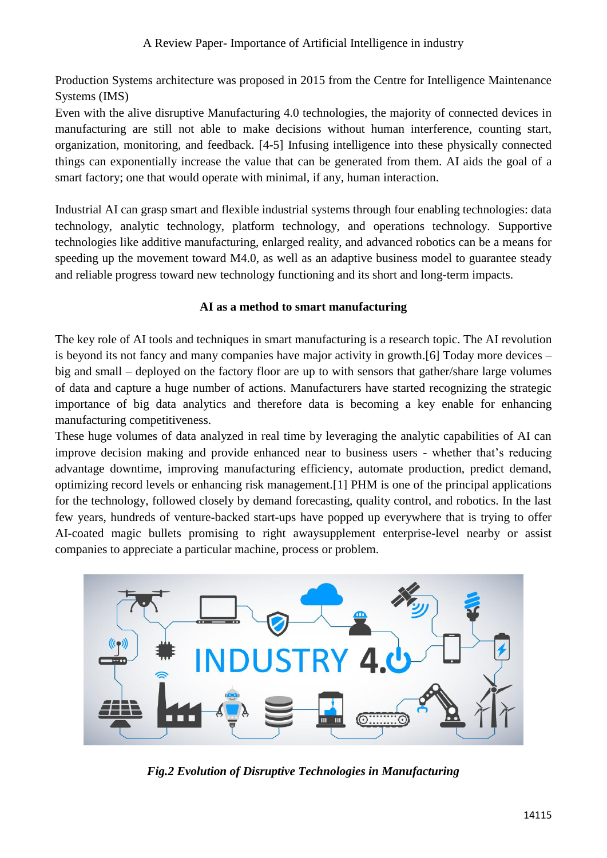Production Systems architecture was proposed in 2015 from the Centre for Intelligence Maintenance Systems (IMS)

Even with the alive disruptive Manufacturing 4.0 technologies, the majority of connected devices in manufacturing are still not able to make decisions without human interference, counting start, organization, monitoring, and feedback. [4-5] Infusing intelligence into these physically connected things can exponentially increase the value that can be generated from them. AI aids the goal of a smart factory; one that would operate with minimal, if any, human interaction.

Industrial AI can grasp smart and flexible industrial systems through four enabling technologies: data technology, analytic technology, platform technology, and operations technology. Supportive technologies like additive manufacturing, enlarged reality, and advanced robotics can be a means for speeding up the movement toward M4.0, as well as an adaptive business model to guarantee steady and reliable progress toward new technology functioning and its short and long-term impacts.

# **AI as a method to smart manufacturing**

The key role of AI tools and techniques in smart manufacturing is a research topic. The AI revolution is beyond its not fancy and many companies have major activity in growth.[6] Today more devices – big and small – deployed on the factory floor are up to with sensors that gather/share large volumes of data and capture a huge number of actions. Manufacturers have started recognizing the strategic importance of big data analytics and therefore data is becoming a key enable for enhancing manufacturing competitiveness.

These huge volumes of data analyzed in real time by leveraging the analytic capabilities of AI can improve decision making and provide enhanced near to business users - whether that"s reducing advantage downtime, improving manufacturing efficiency, automate production, predict demand, optimizing record levels or enhancing risk management.[1] PHM is one of the principal applications for the technology, followed closely by demand forecasting, quality control, and robotics. In the last few years, hundreds of venture-backed start-ups have popped up everywhere that is trying to offer AI-coated magic bullets promising to right awaysupplement enterprise-level nearby or assist companies to appreciate a particular machine, process or problem.



*Fig.2 Evolution of Disruptive Technologies in Manufacturing*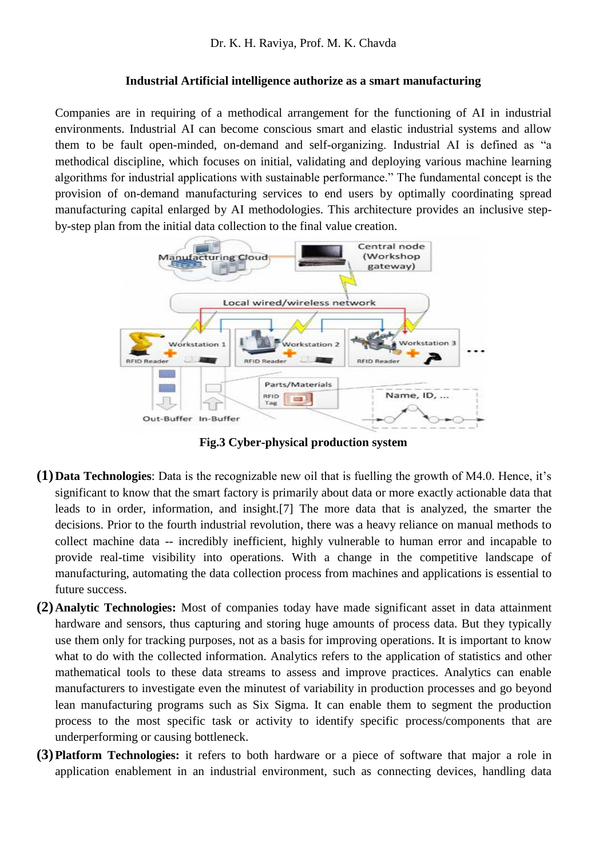#### **Industrial Artificial intelligence authorize as a smart manufacturing**

Companies are in requiring of a methodical arrangement for the functioning of AI in industrial environments. Industrial AI can become conscious smart and elastic industrial systems and allow them to be fault open-minded, on-demand and self-organizing. Industrial AI is defined as "a methodical discipline, which focuses on initial, validating and deploying various machine learning algorithms for industrial applications with sustainable performance." The fundamental concept is the provision of on-demand manufacturing services to end users by optimally coordinating spread manufacturing capital enlarged by AI methodologies. This architecture provides an inclusive stepby-step plan from the initial data collection to the final value creation.



**Fig.3 Cyber-physical production system**

- **(1)Data Technologies**: Data is the recognizable new oil that is fuelling the growth of M4.0. Hence, it"s significant to know that the smart factory is primarily about data or more exactly actionable data that leads to in order, information, and insight.[7] The more data that is analyzed, the smarter the decisions. Prior to the fourth industrial revolution, there was a heavy reliance on manual methods to collect machine data -- incredibly inefficient, highly vulnerable to human error and incapable to provide real-time visibility into operations. With a change in the competitive landscape of manufacturing, automating the data collection process from machines and applications is essential to future success.
- **(2)Analytic Technologies:** Most of companies today have made significant asset in data attainment hardware and sensors, thus capturing and storing huge amounts of process data. But they typically use them only for tracking purposes, not as a basis for improving operations. It is important to know what to do with the collected information. Analytics refers to the application of statistics and other mathematical tools to these data streams to assess and improve practices. Analytics can enable manufacturers to investigate even the minutest of variability in production processes and go beyond lean manufacturing programs such as Six Sigma. It can enable them to segment the production process to the most specific task or activity to identify specific process/components that are underperforming or causing bottleneck.
- **(3)Platform Technologies:** it refers to both hardware or a piece of software that major a role in application enablement in an industrial environment, such as connecting devices, handling data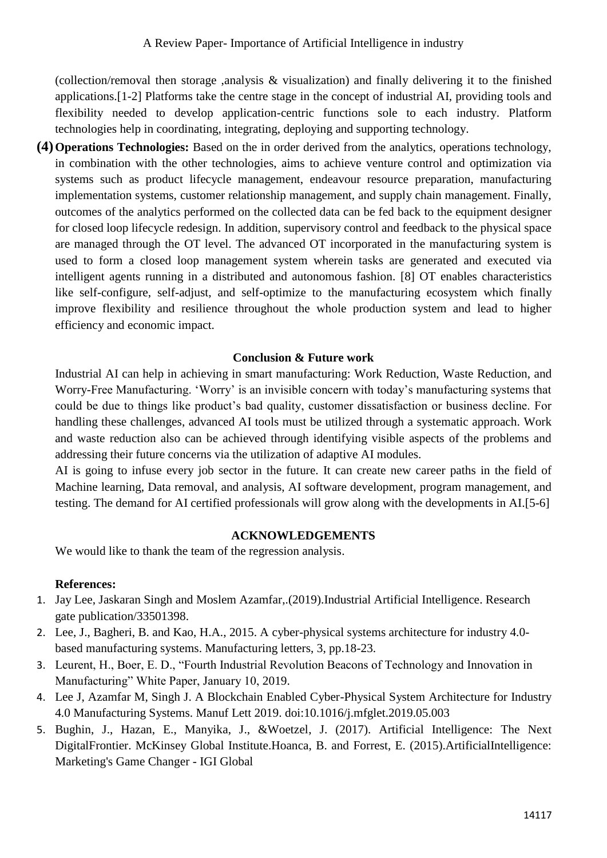(collection/removal then storage ,analysis & visualization) and finally delivering it to the finished applications.[1-2] Platforms take the centre stage in the concept of industrial AI, providing tools and flexibility needed to develop application-centric functions sole to each industry. Platform technologies help in coordinating, integrating, deploying and supporting technology.

**(4)Operations Technologies:** Based on the in order derived from the analytics, operations technology, in combination with the other technologies, aims to achieve venture control and optimization via systems such as product lifecycle management, endeavour resource preparation, manufacturing implementation systems, customer relationship management, and supply chain management. Finally, outcomes of the analytics performed on the collected data can be fed back to the equipment designer for closed loop lifecycle redesign. In addition, supervisory control and feedback to the physical space are managed through the OT level. The advanced OT incorporated in the manufacturing system is used to form a closed loop management system wherein tasks are generated and executed via intelligent agents running in a distributed and autonomous fashion. [8] OT enables characteristics like self-configure, self-adjust, and self-optimize to the manufacturing ecosystem which finally improve flexibility and resilience throughout the whole production system and lead to higher efficiency and economic impact.

# **Conclusion & Future work**

Industrial AI can help in achieving in smart manufacturing: Work Reduction, Waste Reduction, and Worry-Free Manufacturing. "Worry" is an invisible concern with today"s manufacturing systems that could be due to things like product"s bad quality, customer dissatisfaction or business decline. For handling these challenges, advanced AI tools must be utilized through a systematic approach. Work and waste reduction also can be achieved through identifying visible aspects of the problems and addressing their future concerns via the utilization of adaptive AI modules.

AI is going to infuse every job sector in the future. It can create new career paths in the field of Machine learning, Data removal, and analysis, AI software development, program management, and testing. The demand for AI certified professionals will grow along with the developments in AI.[5-6]

### **ACKNOWLEDGEMENTS**

We would like to thank the team of the regression analysis.

# **References:**

- 1. Jay Lee, Jaskaran Singh and Moslem Azamfar,.(2019).Industrial Artificial Intelligence. Research gate publication/33501398.
- 2. Lee, J., Bagheri, B. and Kao, H.A., 2015. A cyber-physical systems architecture for industry 4.0 based manufacturing systems. Manufacturing letters, 3, pp.18-23.
- 3. Leurent, H., Boer, E. D., "Fourth Industrial Revolution Beacons of Technology and Innovation in Manufacturing" White Paper, January 10, 2019.
- 4. Lee J, Azamfar M, Singh J. A Blockchain Enabled Cyber-Physical System Architecture for Industry 4.0 Manufacturing Systems. Manuf Lett 2019. doi:10.1016/j.mfglet.2019.05.003
- 5. Bughin, J., Hazan, E., Manyika, J., &Woetzel, J. (2017). Artificial Intelligence: The Next DigitalFrontier. McKinsey Global Institute.Hoanca, B. and Forrest, E. (2015).ArtificialIntelligence: Marketing's Game Changer - IGI Global